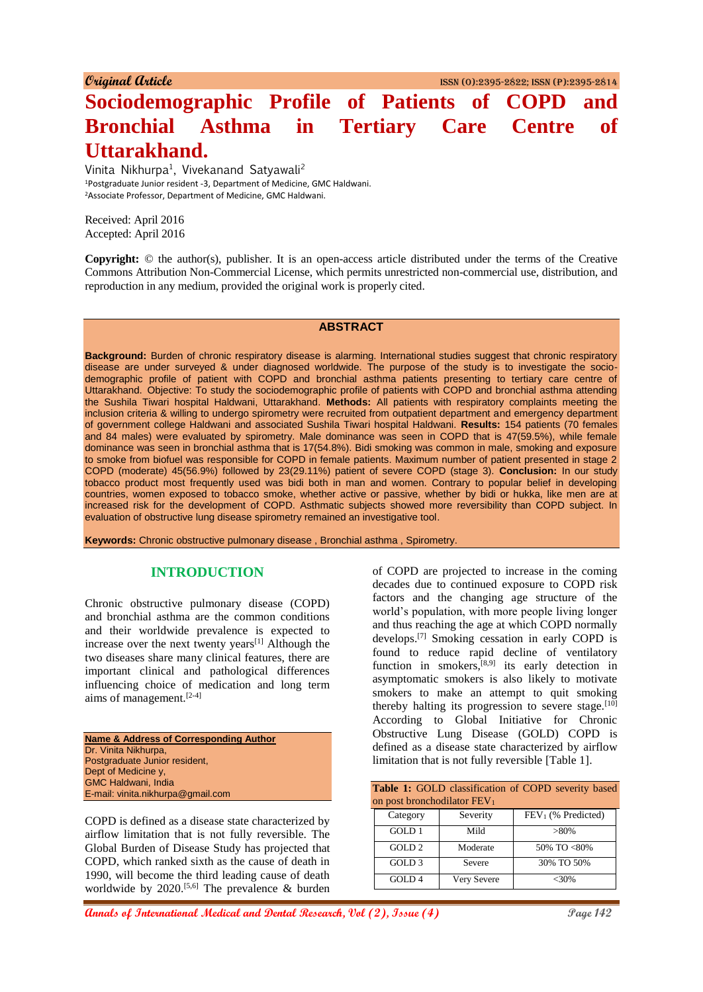# **Sociodemographic Profile of Patients of COPD and Bronchial Asthma in Tertiary Care Centre of Uttarakhand.**

Vinita Nikhurpa<sup>1</sup>, Vivekanand Satyawali<sup>2</sup> <sup>1</sup>Postgraduate Junior resident -3, Department of Medicine, GMC Haldwani. <sup>2</sup>Associate Professor, Department of Medicine, GMC Haldwani.

Received: April 2016 Accepted: April 2016

**Copyright:** © the author(s), publisher. It is an open-access article distributed under the terms of the Creative Commons Attribution Non-Commercial License, which permits unrestricted non-commercial use, distribution, and reproduction in any medium, provided the original work is properly cited.

#### **ABSTRACT**

**Background:** Burden of chronic respiratory disease is alarming. International studies suggest that chronic respiratory disease are under surveyed & under diagnosed worldwide. The purpose of the study is to investigate the sociodemographic profile of patient with COPD and bronchial asthma patients presenting to tertiary care centre of Uttarakhand. Objective: To study the sociodemographic profile of patients with COPD and bronchial asthma attending the Sushila Tiwari hospital Haldwani, Uttarakhand. **Methods:** All patients with respiratory complaints meeting the inclusion criteria & willing to undergo spirometry were recruited from outpatient department and emergency department of government college Haldwani and associated Sushila Tiwari hospital Haldwani. **Results:** 154 patients (70 females and 84 males) were evaluated by spirometry. Male dominance was seen in COPD that is 47(59.5%), while female dominance was seen in bronchial asthma that is 17(54.8%). Bidi smoking was common in male, smoking and exposure to smoke from biofuel was responsible for COPD in female patients. Maximum number of patient presented in stage 2 COPD (moderate) 45(56.9%) followed by 23(29.11%) patient of severe COPD (stage 3). **Conclusion:** In our study tobacco product most frequently used was bidi both in man and women. Contrary to popular belief in developing countries, women exposed to tobacco smoke, whether active or passive, whether by bidi or hukka, like men are at increased risk for the development of COPD. Asthmatic subjects showed more reversibility than COPD subject. In evaluation of obstructive lung disease spirometry remained an investigative tool.

**Keywords:** Chronic obstructive pulmonary disease , Bronchial asthma , Spirometry.

## **INTRODUCTION**

Chronic obstructive pulmonary disease (COPD) and bronchial asthma are the common conditions and their worldwide prevalence is expected to increase over the next twenty years<sup>[1]</sup> Although the two diseases share many clinical features, there are important clinical and pathological differences influencing choice of medication and long term aims of management.[2-4]

| <b>Name &amp; Address of Corresponding Author</b> |
|---------------------------------------------------|
| Dr. Vinita Nikhurpa,                              |
| Postgraduate Junior resident,                     |
| Dept of Medicine y,                               |
| <b>GMC Haldwani, India</b>                        |
| E-mail: vinita.nikhurpa@gmail.com                 |

COPD is defined as a disease state characterized by airflow limitation that is not fully reversible. The Global Burden of Disease Study has projected that COPD, which ranked sixth as the cause of death in 1990, will become the third leading cause of death worldwide by 2020.<sup>[5,6]</sup> The prevalence  $\&$  burden of COPD are projected to increase in the coming decades due to continued exposure to COPD risk factors and the changing age structure of the world's population, with more people living longer and thus reaching the age at which COPD normally develops.[7] Smoking cessation in early COPD is found to reduce rapid decline of ventilatory function in smokers, $[8,9]$  its early detection in asymptomatic smokers is also likely to motivate smokers to make an attempt to quit smoking thereby halting its progression to severe stage.<sup>[10]</sup> According to Global Initiative for Chronic Obstructive Lung Disease (GOLD) COPD is defined as a disease state characterized by airflow limitation that is not fully reversible [Table 1].

| Table 1: GOLD classification of COPD severity based<br>on post bronchodilator FEV <sub>1</sub> |             |                      |  |  |  |
|------------------------------------------------------------------------------------------------|-------------|----------------------|--|--|--|
| Category                                                                                       | Severity    | $FEV1$ (% Predicted) |  |  |  |
| GOLD 1                                                                                         | Mild        | $>80\%$              |  |  |  |
| GOLD <sub>2</sub>                                                                              | Moderate    | 50% TO <80%          |  |  |  |
| GOLD <sub>3</sub><br>Severe                                                                    |             | 30% TO 50%           |  |  |  |
| GOLD <sub>4</sub>                                                                              | Very Severe | $<30\%$              |  |  |  |

**Annals of International Medical and Dental Research, Vol (2), Issue (4)** Page 142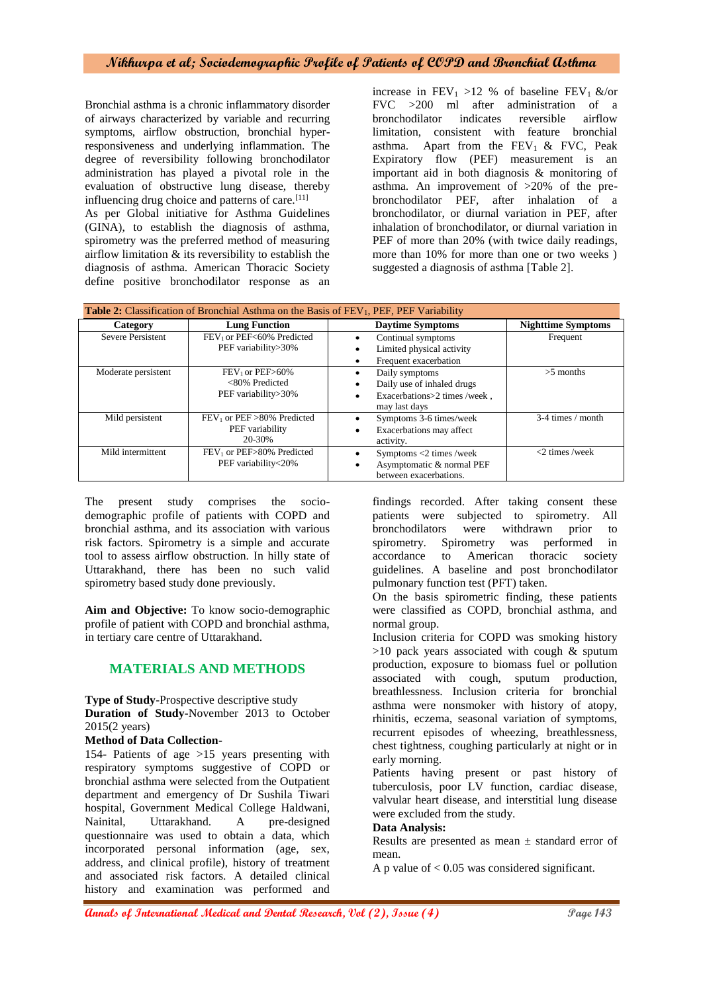Bronchial asthma is a chronic inflammatory disorder of airways characterized by variable and recurring symptoms, airflow obstruction, bronchial hyperresponsiveness and underlying inflammation. The degree of reversibility following bronchodilator administration has played a pivotal role in the evaluation of obstructive lung disease, thereby influencing drug choice and patterns of care.<sup>[11]</sup> As per Global initiative for Asthma Guidelines (GINA), to establish the diagnosis of asthma,

spirometry was the preferred method of measuring airflow limitation & its reversibility to establish the diagnosis of asthma. American Thoracic Society define positive bronchodilator response as an

increase in  $FEV_1 > 12$  % of baseline  $FEV_1$  &/or FVC >200 ml after administration of a bronchodilator indicates reversible airflow limitation, consistent with feature bronchial asthma. Apart from the  $FEV_1$  & FVC, Peak Expiratory flow (PEF) measurement is an important aid in both diagnosis & monitoring of asthma. An improvement of >20% of the prebronchodilator PEF, after inhalation of a bronchodilator, or diurnal variation in PEF, after inhalation of bronchodilator, or diurnal variation in PEF of more than 20% (with twice daily readings, more than 10% for more than one or two weeks ) suggested a diagnosis of asthma [Table 2].

| <b>Table 2:</b> Classification of Bronchial Asthma on the Basis of FEV <sub>1</sub> , PEF, PEF Variability |                                                               |                                                                                               |                           |  |  |
|------------------------------------------------------------------------------------------------------------|---------------------------------------------------------------|-----------------------------------------------------------------------------------------------|---------------------------|--|--|
| Category                                                                                                   | <b>Lung Function</b>                                          | <b>Daytime Symptoms</b>                                                                       | <b>Nighttime Symptoms</b> |  |  |
| <b>Severe Persistent</b>                                                                                   | FEV <sub>1</sub> or PEF<60% Predicted<br>PEF variability>30%  | Continual symptoms<br>Limited physical activity<br>Frequent exacerbation                      | Frequent                  |  |  |
| Moderate persistent                                                                                        | $FEV1$ or $PEF>60\%$<br><80% Predicted<br>PEF variability>30% | Daily symptoms<br>Daily use of inhaled drugs<br>Exacerbations>2 times /week,<br>may last days | $>5$ months               |  |  |
| Mild persistent                                                                                            | $FEV1$ or $PEF > 80\%$ Predicted<br>PEF variability<br>20-30% | Symptoms 3-6 times/week<br>Exacerbations may affect<br>activity.                              | $3-4$ times / month       |  |  |
| Mild intermittent                                                                                          | FEV <sub>1</sub> or PEF>80% Predicted<br>PEF variability<20%  | Symptoms <2 times /week<br>Asymptomatic & normal PEF<br>between exacerbations.                | $<$ 2 times /week         |  |  |

The present study comprises the sociodemographic profile of patients with COPD and bronchial asthma, and its association with various risk factors. Spirometry is a simple and accurate tool to assess airflow obstruction. In hilly state of Uttarakhand, there has been no such valid spirometry based study done previously.

**Aim and Objective:** To know socio-demographic profile of patient with COPD and bronchial asthma, in tertiary care centre of Uttarakhand.

# **MATERIALS AND METHODS**

**Type of Study**-Prospective descriptive study **Duration of Study-**November 2013 to October 2015(2 years)

#### **Method of Data Collection-**

154- Patients of age >15 years presenting with respiratory symptoms suggestive of COPD or bronchial asthma were selected from the Outpatient department and emergency of Dr Sushila Tiwari hospital, Government Medical College Haldwani, Nainital, Uttarakhand. A pre-designed questionnaire was used to obtain a data, which incorporated personal information (age, sex, address, and clinical profile), history of treatment and associated risk factors. A detailed clinical history and examination was performed and

findings recorded. After taking consent these patients were subjected to spirometry. All bronchodilators were withdrawn prior to spirometry. Spirometry was performed in accordance to American thoracic society guidelines. A baseline and post bronchodilator pulmonary function test (PFT) taken.

On the basis spirometric finding, these patients were classified as COPD, bronchial asthma, and normal group.

Inclusion criteria for COPD was smoking history  $>10$  pack years associated with cough & sputum production, exposure to biomass fuel or pollution associated with cough, sputum production, breathlessness. Inclusion criteria for bronchial asthma were nonsmoker with history of atopy, rhinitis, eczema, seasonal variation of symptoms, recurrent episodes of wheezing, breathlessness, chest tightness, coughing particularly at night or in early morning.

Patients having present or past history of tuberculosis, poor LV function, cardiac disease, valvular heart disease, and interstitial lung disease were excluded from the study.

#### **Data Analysis:**

Results are presented as mean  $\pm$  standard error of mean.

A p value of  $< 0.05$  was considered significant.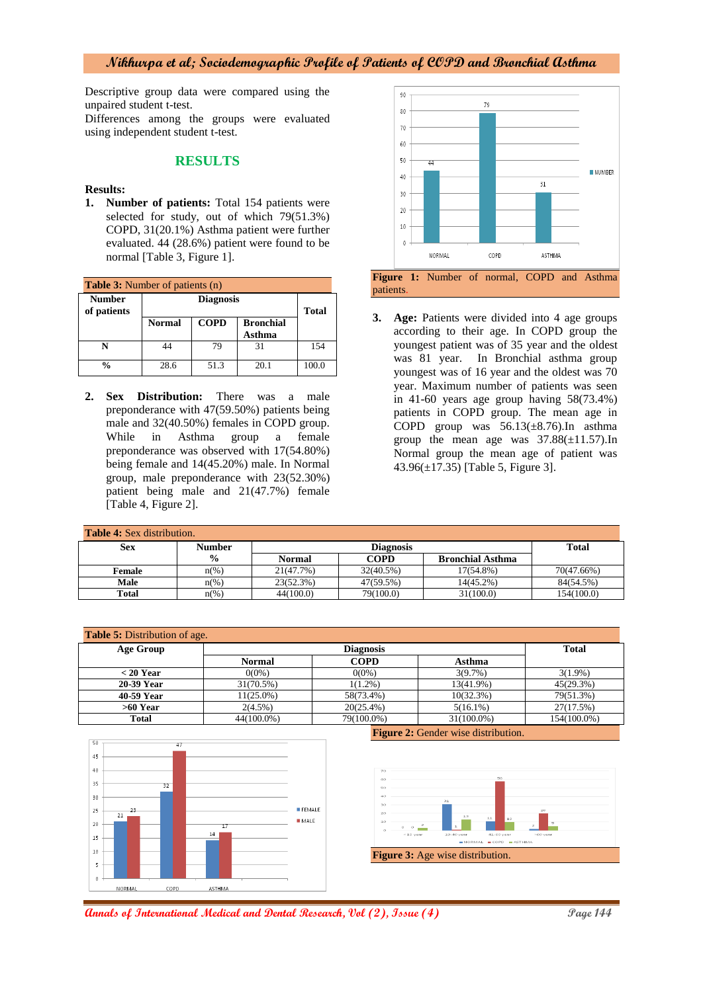Descriptive group data were compared using the unpaired student t-test.

Differences among the groups were evaluated using independent student t-test.

## **RESULTS**

#### **Results:**

**1. Number of patients:** Total 154 patients were selected for study, out of which 79(51.3%) COPD, 31(20.1%) Asthma patient were further evaluated. 44 (28.6%) patient were found to be normal [Table 3, Figure 1].

| <b>Table 3:</b> Number of patients (n) |                                                            |              |      |       |  |  |
|----------------------------------------|------------------------------------------------------------|--------------|------|-------|--|--|
| <b>Number</b><br>of patients           |                                                            | <b>Total</b> |      |       |  |  |
|                                        | <b>COPD</b><br><b>Bronchial</b><br><b>Normal</b><br>Asthma |              |      |       |  |  |
|                                        |                                                            | 79           | 31   | 154   |  |  |
| $\frac{0}{0}$                          | 28.6                                                       | 51.3         | 20.1 | 100.0 |  |  |

**2. Sex Distribution:** There was a male preponderance with 47(59.50%) patients being male and 32(40.50%) females in COPD group. While in Asthma group a female preponderance was observed with 17(54.80%) being female and 14(45.20%) male. In Normal group, male preponderance with 23(52.30%) patient being male and 21(47.7%) female [Table 4, Figure 2].



**3. Age:** Patients were divided into 4 age groups according to their age. In COPD group the youngest patient was of 35 year and the oldest was 81 year. In Bronchial asthma group youngest was of 16 year and the oldest was 70 year. Maximum number of patients was seen in 41-60 years age group having 58(73.4%) patients in COPD group. The mean age in COPD group was  $56.13(\pm 8.76)$ . In asthma group the mean age was  $37.88(\pm 11.57)$ . In Normal group the mean age of patient was 43.96(±17.35) [Table 5, Figure 3].

| <b>Table 4:</b> Sex distribution. |                     |               |                                 |           |            |  |  |
|-----------------------------------|---------------------|---------------|---------------------------------|-----------|------------|--|--|
| Sex                               | <b>Number</b>       |               | Diagnosis                       |           |            |  |  |
|                                   | $\frac{0}{0}$       | <b>Normal</b> | COPD<br><b>Bronchial Asthma</b> |           |            |  |  |
| Female                            | $n\frac{\omega}{6}$ | 21(47.7%)     | 32(40.5%)                       | 17(54.8%) | 70(47.66%) |  |  |
| Male                              | $n\left(\%\right)$  | 23(52.3%)     | 47(59.5%)                       | 14(45.2%) | 84(54.5%)  |  |  |
| <b>Total</b>                      | $n\frac{6}{6}$      | 44(100.0)     | 79(100.0)                       | 31(100.0) | 154(100.0) |  |  |

| <b>Table 5:</b> Distribution of age. |               |              |               |             |  |  |  |
|--------------------------------------|---------------|--------------|---------------|-------------|--|--|--|
| <b>Age Group</b>                     |               | <b>Total</b> |               |             |  |  |  |
|                                      | <b>Normal</b> | <b>COPD</b>  | Asthma        |             |  |  |  |
| $<$ 20 Year                          | $0(0\%)$      | $0(0\%)$     | $3(9.7\%)$    | $3(1.9\%)$  |  |  |  |
| 20-39 Year                           | $31(70.5\%)$  | $1(1.2\%)$   | 13(41.9%)     | 45(29.3%)   |  |  |  |
| 40-59 Year                           | $11(25.0\%)$  | 58(73.4%)    | 10(32.3%)     | 79(51.3%)   |  |  |  |
| $>60$ Year                           | $2(4.5\%)$    | $20(25.4\%)$ | $5(16.1\%)$   | 27(17.5%)   |  |  |  |
| <b>Total</b>                         | 44(100.0%)    | 79(100.0%)   | $31(100.0\%)$ | 154(100.0%) |  |  |  |



**Figure 2:** Gender wise distribution.



**Annals of International Medical and Dental Research, Vol (2), Issue (4)** Page 144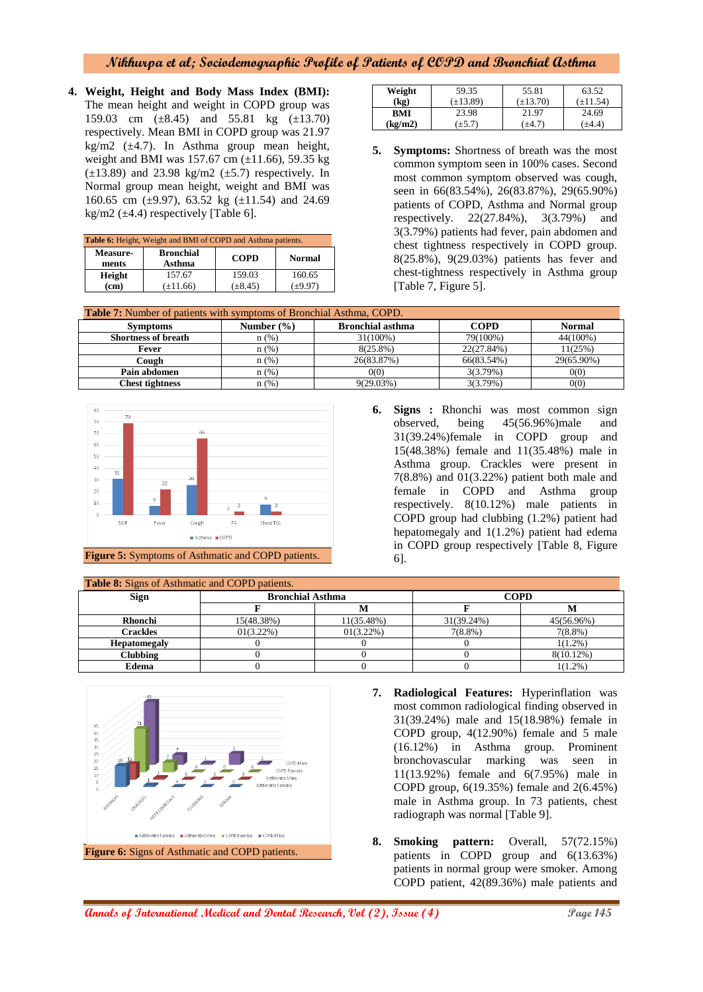**4. Weight, Height and Body Mass Index (BMI):**  The mean height and weight in COPD group was 159.03 cm (±8.45) and 55.81 kg (±13.70) respectively. Mean BMI in COPD group was 21.97 kg/m2  $(\pm 4.7)$ . In Asthma group mean height, weight and BMI was 157.67 cm (±11.66), 59.35 kg  $(\pm 13.89)$  and 23.98 kg/m2  $(\pm 5.7)$  respectively. In Normal group mean height, weight and BMI was 160.65 cm ( $\pm$ 9.97), 63.52 kg ( $\pm$ 11.54) and 24.69 kg/m2 ( $\pm$ 4.4) respectively [Table 6].

| Table 6: Height, Weight and BMI of COPD and Asthma patients.                           |               |              |         |  |  |
|----------------------------------------------------------------------------------------|---------------|--------------|---------|--|--|
| <b>Bronchial</b><br><b>Measure-</b><br><b>COPD</b><br><b>Normal</b><br>Asthma<br>ments |               |              |         |  |  |
| Height                                                                                 | 157.67        | 159.03       | 160.65  |  |  |
| (cm)                                                                                   | $(\pm 11.66)$ | $(\pm 8.45)$ | $+9.97$ |  |  |

| Weight  | 59.35         | 55.81         | 63.52         |
|---------|---------------|---------------|---------------|
| (kg)    | $(\pm 13.89)$ | $(\pm 13.70)$ | $(\pm 11.54)$ |
| BMI     | 23.98         | 21.97         | 24.69         |
| (kg/m2) | $(\pm 5.7)$   | $(\pm 4.7)$   | $(\pm 4.4)$   |

**5. Symptoms:** Shortness of breath was the most common symptom seen in 100% cases. Second most common symptom observed was cough, seen in 66(83.54%), 26(83.87%), 29(65.90%) patients of COPD, Asthma and Normal group respectively. 22(27.84%), 3(3.79%) and 3(3.79%) patients had fever, pain abdomen and chest tightness respectively in COPD group. 8(25.8%), 9(29.03%) patients has fever and chest-tightness respectively in Asthma group [Table 7, Figure 5].

| <b>Table 7:</b> Number of patients with symptoms of Bronchial Asthma, COPD.                  |      |              |            |            |  |  |  |
|----------------------------------------------------------------------------------------------|------|--------------|------------|------------|--|--|--|
| <b>Bronchial asthma</b><br><b>COPD</b><br>Number $(\% )$<br><b>Normal</b><br><b>Symptoms</b> |      |              |            |            |  |  |  |
| <b>Shortness of breath</b>                                                                   | n(%) | $31(100\%)$  | 79(100%)   | 44(100%)   |  |  |  |
| Fever                                                                                        | n(%) | $8(25.8\%)$  | 22(27.84%) | 11(25%)    |  |  |  |
| Cough                                                                                        | n(%) | 26(83.87%)   | 66(83.54%) | 29(65.90%) |  |  |  |
| Pain abdomen                                                                                 | n(%) | 0(0)         | 3(3.79%)   | 0(0)       |  |  |  |
| <b>Chest tightness</b>                                                                       | n(%) | $9(29.03\%)$ | 3(3.79%)   | 0(0)       |  |  |  |



**6. Signs :** Rhonchi was most common sign observed, being 45(56.96%)male and 31(39.24%)female in COPD group and 15(48.38%) female and 11(35.48%) male in Asthma group. Crackles were present in 7(8.8%) and 01(3.22%) patient both male and female in COPD and Asthma group respectively. 8(10.12%) male patients in COPD group had clubbing (1.2%) patient had hepatomegaly and 1(1.2%) patient had edema in COPD group respectively [Table 8, Figure 6].

| <b>Table 8:</b> Signs of Asthmatic and COPD patients. |                         |              |            |              |  |  |  |
|-------------------------------------------------------|-------------------------|--------------|------------|--------------|--|--|--|
| <b>Sign</b>                                           | <b>Bronchial Asthma</b> |              |            | <b>COPD</b>  |  |  |  |
|                                                       |                         |              |            |              |  |  |  |
| Rhonchi                                               | 15(48.38%)              | 11(35.48%)   | 31(39.24%) | 45(56.96%)   |  |  |  |
| <b>Crackles</b>                                       | $01(3.22\%)$            | $01(3.22\%)$ | $7(8.8\%)$ | $7(8.8\%)$   |  |  |  |
| <b>Hepatomegaly</b>                                   |                         |              |            | $1(1.2\%)$   |  |  |  |
| <b>Clubbing</b>                                       |                         |              |            | $8(10.12\%)$ |  |  |  |
| <b>Edema</b>                                          |                         |              |            | $1(1.2\%)$   |  |  |  |



- **7. Radiological Features:** Hyperinflation was most common radiological finding observed in 31(39.24%) male and 15(18.98%) female in COPD group, 4(12.90%) female and 5 male (16.12%) in Asthma group. Prominent bronchovascular marking was seen in 11(13.92%) female and 6(7.95%) male in COPD group, 6(19.35%) female and 2(6.45%) male in Asthma group. In 73 patients, chest radiograph was normal [Table 9].
- **8. Smoking pattern:** Overall, 57(72.15%) patients in COPD group and 6(13.63%) patients in normal group were smoker. Among COPD patient, 42(89.36%) male patients and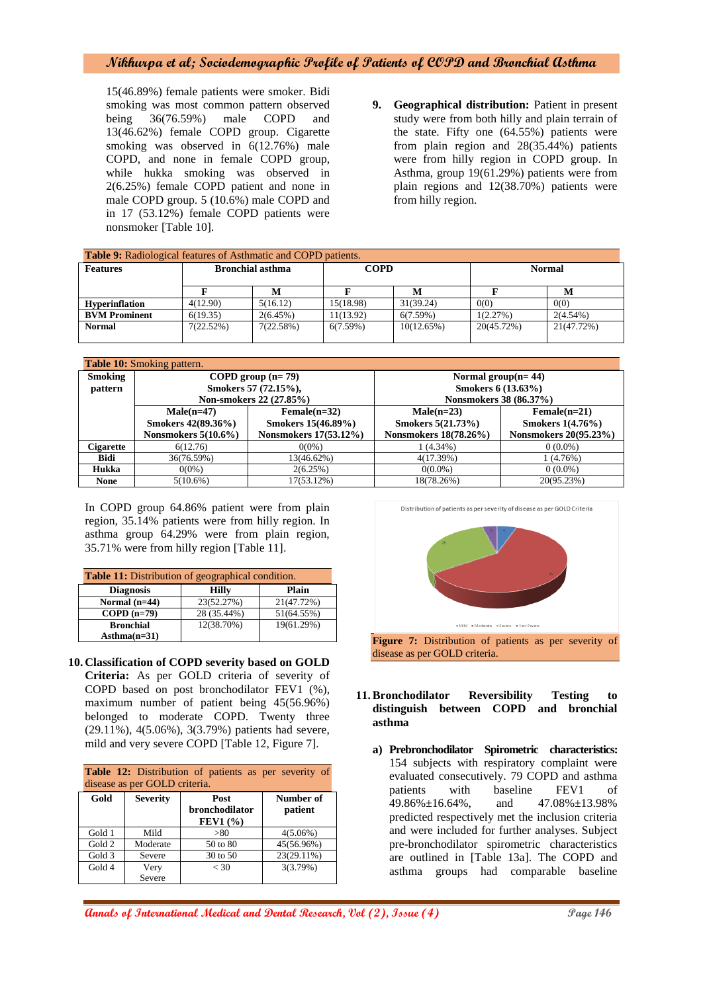15(46.89%) female patients were smoker. Bidi smoking was most common pattern observed being 36(76.59%) male COPD and 13(46.62%) female COPD group. Cigarette smoking was observed in  $6(12.76%)$  male COPD, and none in female COPD group, while hukka smoking was observed in 2(6.25%) female COPD patient and none in male COPD group. 5 (10.6%) male COPD and in 17 (53.12%) female COPD patients were nonsmoker [Table 10].

**9. Geographical distribution:** Patient in present study were from both hilly and plain terrain of the state. Fifty one (64.55%) patients were from plain region and 28(35.44%) patients were from hilly region in COPD group. In Asthma, group 19(61.29%) patients were from plain regions and 12(38.70%) patients were from hilly region.

| <b>Table 9:</b> Radiological features of Asthmatic and COPD patients. |                         |           |             |            |               |             |  |
|-----------------------------------------------------------------------|-------------------------|-----------|-------------|------------|---------------|-------------|--|
| <b>Features</b>                                                       | <b>Bronchial asthma</b> |           | <b>COPD</b> |            | <b>Normal</b> |             |  |
|                                                                       |                         | M         |             | M          |               | М           |  |
| <b>Hyperinflation</b>                                                 | 4(12.90)                | 5(16.12)  | 15(18.98)   | 31(39.24)  | 0(0)          | 0(0)        |  |
| <b>BVM Prominent</b>                                                  | 6(19.35)                | 2(6.45%)  | 11(13.92)   | 6(7.59%)   | 1(2.27%)      | $2(4.54\%)$ |  |
| <b>Normal</b>                                                         | 7(22.52%)               | 7(22.58%) | 6(7.59%)    | 10(12.65%) | 20(45.72%)    | 21(47.72%)  |  |
|                                                                       |                         |           |             |            |               |             |  |

| <b>Table 10:</b> Smoking pattern. |                                                 |                         |                        |                         |  |  |  |
|-----------------------------------|-------------------------------------------------|-------------------------|------------------------|-------------------------|--|--|--|
| <b>Smoking</b>                    |                                                 | COPD group $(n=79)$     | Normal group $(n=44)$  |                         |  |  |  |
| pattern                           |                                                 | Smokers 57 (72.15%),    | Smokers 6 (13.63%)     |                         |  |  |  |
|                                   |                                                 | Non-smokers 22 (27.85%) | Nonsmokers 38 (86.37%) |                         |  |  |  |
|                                   | $Male(n=47)$<br>$Female(n=32)$                  |                         | $Male(n=23)$           | $Female(n=21)$          |  |  |  |
|                                   | Smokers 42(89.36%)<br>Smokers 15(46.89%)        |                         | Smokers 5(21.73%)      | <b>Smokers 1(4.76%)</b> |  |  |  |
|                                   | Nonsmokers 17(53.12%)<br>Nonsmokers $5(10.6\%)$ |                         | Nonsmokers 18(78.26%)  | Nonsmokers 20(95.23%)   |  |  |  |
| Cigarette                         | 6(12.76)<br>$0(0\%)$                            |                         | $1(4.34\%)$            | $0(0.0\%)$              |  |  |  |
| Bidi                              | 36(76.59%)<br>13(46.62%)                        |                         | 4(17.39%)              | 1 (4.76%)               |  |  |  |
| Hukka                             | $0(0\%)$<br>2(6.25%)                            |                         | $0(0.0\%)$             | $0(0.0\%)$              |  |  |  |
| <b>None</b>                       | $5(10.6\%)$                                     | 17(53.12%)              | 18(78.26%)             | 20(95.23%)              |  |  |  |

In COPD group 64.86% patient were from plain region, 35.14% patients were from hilly region. In asthma group 64.29% were from plain region, 35.71% were from hilly region [Table 11].

| <b>Table 11:</b> Distribution of geographical condition. |              |            |  |  |
|----------------------------------------------------------|--------------|------------|--|--|
| <b>Diagnosis</b>                                         | <b>Hilly</b> | Plain      |  |  |
| Normal $(n=44)$                                          | 23(52.27%)   | 21(47.72%) |  |  |
| $COPD(n=79)$                                             | 28 (35.44%)  | 51(64.55%) |  |  |
| <b>Bronchial</b>                                         | 12(38.70%)   | 19(61.29%) |  |  |
| $Asthma(n=31)$                                           |              |            |  |  |

**10. Classification of COPD severity based on GOLD Criteria:** As per GOLD criteria of severity of COPD based on post bronchodilator FEV1 (%), maximum number of patient being 45(56.96%) belonged to moderate COPD. Twenty three (29.11%), 4(5.06%), 3(3.79%) patients had severe, mild and very severe COPD [Table 12, Figure 7].

| <b>Table 12:</b> Distribution of patients as per severity of |  |  |  |
|--------------------------------------------------------------|--|--|--|
| disease as per GOLD criteria.                                |  |  |  |

| Gold   | <b>Severity</b> | Post            | Number of   |
|--------|-----------------|-----------------|-------------|
|        |                 | bronchodilator  | patient     |
|        |                 | <b>FEV1</b> (%) |             |
| Gold 1 | Mild            | > 80            | $4(5.06\%)$ |
| Gold 2 | Moderate        | 50 to 80        | 45(56.96%)  |
| Gold 3 | Severe          | 30 to 50        | 23(29.11%)  |
| Gold 4 | Very            | < 30            | 3(3.79%)    |
|        | Severe          |                 |             |



- **11.Bronchodilator Reversibility Testing to distinguish between COPD and bronchial asthma**
	- **a) Prebronchodilator Spirometric characteristics:** 154 subjects with respiratory complaint were evaluated consecutively. 79 COPD and asthma patients with baseline FEV1 of 49.86%±16.64%, and 47.08%±13.98% predicted respectively met the inclusion criteria and were included for further analyses. Subject pre-bronchodilator spirometric characteristics are outlined in [Table 13a]. The COPD and asthma groups had comparable baseline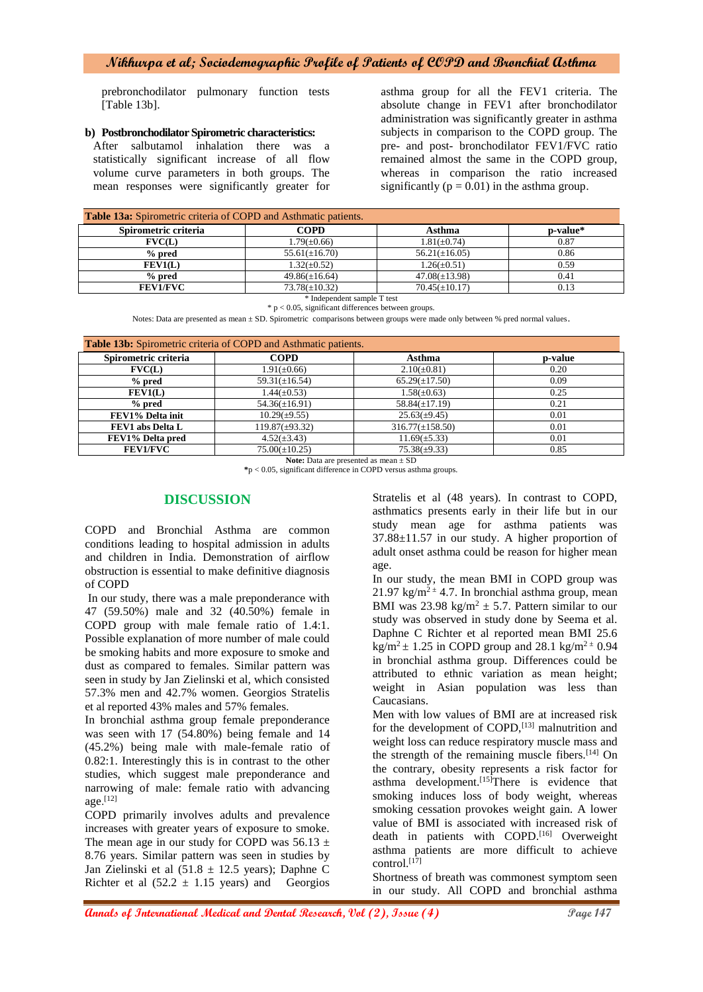prebronchodilator pulmonary function tests [Table 13b].

#### **b) Postbronchodilator Spirometric characteristics:**

After salbutamol inhalation there was a statistically significant increase of all flow volume curve parameters in both groups. The mean responses were significantly greater for

asthma group for all the FEV1 criteria. The absolute change in FEV1 after bronchodilator administration was significantly greater in asthma subjects in comparison to the COPD group. The pre- and post- bronchodilator FEV1/FVC ratio remained almost the same in the COPD group, whereas in comparison the ratio increased significantly ( $p = 0.01$ ) in the asthma group.

| COPD<br>Spirometric criteria<br>Asthma<br>p-value*<br>$1.81(\pm 0.74)$<br>$1.79(\pm 0.66)$<br>0.87<br>$\textbf{FVC}(\textbf{L})$<br>% pred<br>0.86 | <b>Table 13a:</b> Spirometric criteria of COPD and Asthmatic patients. |                    |  |  |
|----------------------------------------------------------------------------------------------------------------------------------------------------|------------------------------------------------------------------------|--------------------|--|--|
|                                                                                                                                                    |                                                                        |                    |  |  |
|                                                                                                                                                    |                                                                        |                    |  |  |
|                                                                                                                                                    | $56.21(\pm 16.05)$                                                     | $55.61(\pm 16.70)$ |  |  |
| $1.32(\pm 0.52)$<br>$1.26(\pm 0.51)$<br>FEV1(L)<br>0.59                                                                                            |                                                                        |                    |  |  |
| % pred<br>$47.08(\pm 13.98)$<br>$49.86(\pm 16.64)$<br>0.41                                                                                         |                                                                        |                    |  |  |
| $73.78(\pm 10.32)$<br>$70.45(\pm 10.17)$<br>0.13<br><b>FEV1/FVC</b>                                                                                |                                                                        |                    |  |  |

\* Independent sample T test  $* p < 0.05$ , significant differences between groups.

Notes: Data are presented as mean  $\pm$  SD. Spirometric comparisons between groups were made only between % pred normal values.

| Table 13b: Spirometric criteria of COPD and Asthmatic patients. |                     |                      |         |  |
|-----------------------------------------------------------------|---------------------|----------------------|---------|--|
| Spirometric criteria                                            | <b>COPD</b>         | Asthma               | p-value |  |
| FVC(L)                                                          | $1.91(\pm 0.66)$    | $2.10(\pm 0.81)$     | 0.20    |  |
| $%$ pred                                                        | $59.31(\pm 16.54)$  | $65.29(\pm 17.50)$   | 0.09    |  |
| FEV1(L)                                                         | $1.44(\pm 0.53)$    | $1.58(\pm 0.63)$     | 0.25    |  |
| $%$ pred                                                        | $54.36(\pm 16.91)$  | $58.84(\pm 17.19)$   | 0.21    |  |
| FEV1% Delta init                                                | $10.29(\pm 9.55)$   | $25.63(\pm 9.45)$    | 0.01    |  |
| FEV1 abs Delta L                                                | $119.87(\pm 93.32)$ | $316.77(\pm 158.50)$ | 0.01    |  |
| FEV1% Delta pred                                                | $4.52(\pm 3.43)$    | $11.69(\pm 5.33)$    | 0.01    |  |
| <b>FEV1/FVC</b>                                                 | $75.00(\pm 10.25)$  | $75.38(\pm 9.33)$    | 0.85    |  |

**Note:** Data are presented as mean  $\pm$  SD

**\***p < 0.05, significant difference in COPD versus asthma groups.

## **DISCUSSION**

COPD and Bronchial Asthma are common conditions leading to hospital admission in adults and children in India. Demonstration of airflow obstruction is essential to make definitive diagnosis of COPD

In our study, there was a male preponderance with 47 (59.50%) male and 32 (40.50%) female in COPD group with male female ratio of 1.4:1. Possible explanation of more number of male could be smoking habits and more exposure to smoke and dust as compared to females. Similar pattern was seen in study by Jan Zielinski et al, which consisted 57.3% men and 42.7% women. Georgios Stratelis et al reported 43% males and 57% females.

In bronchial asthma group female preponderance was seen with 17 (54.80%) being female and 14 (45.2%) being male with male-female ratio of 0.82:1. Interestingly this is in contrast to the other studies, which suggest male preponderance and narrowing of male: female ratio with advancing age. [12]

COPD primarily involves adults and prevalence increases with greater years of exposure to smoke. The mean age in our study for COPD was  $56.13 \pm$ 8.76 years. Similar pattern was seen in studies by Jan Zielinski et al  $(51.8 \pm 12.5 \text{ years})$ ; Daphne C Richter et al  $(52.2 \pm 1.15 \text{ years})$  and Georgios

Stratelis et al (48 years). In contrast to COPD, asthmatics presents early in their life but in our study mean age for asthma patients was 37.88±11.57 in our study. A higher proportion of adult onset asthma could be reason for higher mean age.

In our study, the mean BMI in COPD group was 21.97 kg/m<sup>2  $\pm$ </sup> 4.7. In bronchial asthma group, mean BMI was 23.98 kg/m<sup>2</sup>  $\pm$  5.7. Pattern similar to our study was observed in study done by Seema et al. Daphne C Richter et al reported mean BMI 25.6 kg/m<sup>2</sup>  $\pm$  1.25 in COPD group and 28.1 kg/m<sup>2  $\pm$ </sup> 0.94 in bronchial asthma group. Differences could be attributed to ethnic variation as mean height; weight in Asian population was less than Caucasians.

Men with low values of BMI are at increased risk for the development of  $COPD$ ,  $[13]$  malnutrition and weight loss can reduce respiratory muscle mass and the strength of the remaining muscle fibers. $[14]$  On the contrary, obesity represents a risk factor for asthma development.<sup>[15]</sup>There is evidence that smoking induces loss of body weight, whereas smoking cessation provokes weight gain. A lower value of BMI is associated with increased risk of death in patients with COPD.<sup>[16]</sup> Overweight asthma patients are more difficult to achieve control.<sup>[17]</sup>

Shortness of breath was commonest symptom seen in our study. All COPD and bronchial asthma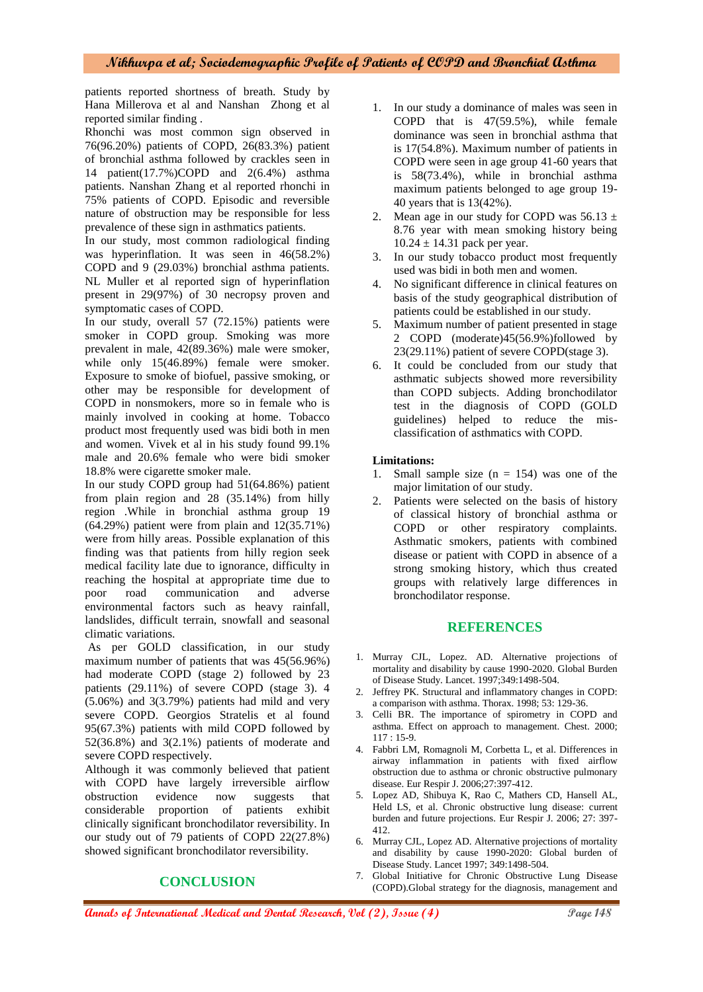patients reported shortness of breath. Study by Hana Millerova et al and Nanshan Zhong et al reported similar finding .

Rhonchi was most common sign observed in 76(96.20%) patients of COPD, 26(83.3%) patient of bronchial asthma followed by crackles seen in 14 patient(17.7%)COPD and 2(6.4%) asthma patients. Nanshan Zhang et al reported rhonchi in 75% patients of COPD. Episodic and reversible nature of obstruction may be responsible for less prevalence of these sign in asthmatics patients.

In our study, most common radiological finding was hyperinflation. It was seen in 46(58.2%) COPD and 9 (29.03%) bronchial asthma patients. NL Muller et al reported sign of hyperinflation present in 29(97%) of 30 necropsy proven and symptomatic cases of COPD.

In our study, overall 57 (72.15%) patients were smoker in COPD group. Smoking was more prevalent in male, 42(89.36%) male were smoker, while only  $15(46.89%)$  female were smoker. Exposure to smoke of biofuel, passive smoking, or other may be responsible for development of COPD in nonsmokers, more so in female who is mainly involved in cooking at home. Tobacco product most frequently used was bidi both in men and women. Vivek et al in his study found 99.1% male and 20.6% female who were bidi smoker 18.8% were cigarette smoker male.

In our study COPD group had 51(64.86%) patient from plain region and 28 (35.14%) from hilly region .While in bronchial asthma group 19  $(64.29\%)$  patient were from plain and  $12(35.71\%)$ were from hilly areas. Possible explanation of this finding was that patients from hilly region seek medical facility late due to ignorance, difficulty in reaching the hospital at appropriate time due to poor road communication and adverse environmental factors such as heavy rainfall, landslides, difficult terrain, snowfall and seasonal climatic variations.

As per GOLD classification, in our study maximum number of patients that was 45(56.96%) had moderate COPD (stage 2) followed by 23 patients (29.11%) of severe COPD (stage 3). 4 (5.06%) and 3(3.79%) patients had mild and very severe COPD. Georgios Stratelis et al found 95(67.3%) patients with mild COPD followed by 52(36.8%) and 3(2.1%) patients of moderate and severe COPD respectively.

Although it was commonly believed that patient with COPD have largely irreversible airflow obstruction evidence now suggests that considerable proportion of patients exhibit clinically significant bronchodilator reversibility. In our study out of 79 patients of COPD 22(27.8%) showed significant bronchodilator reversibility.

# **CONCLUSION**

- 1. In our study a dominance of males was seen in COPD that is 47(59.5%), while female dominance was seen in bronchial asthma that is 17(54.8%). Maximum number of patients in COPD were seen in age group 41-60 years that is 58(73.4%), while in bronchial asthma maximum patients belonged to age group 19- 40 years that is 13(42%).
- 2. Mean age in our study for COPD was  $56.13 \pm$ 8.76 year with mean smoking history being  $10.24 \pm 14.31$  pack per year.
- 3. In our study tobacco product most frequently used was bidi in both men and women.
- 4. No significant difference in clinical features on basis of the study geographical distribution of patients could be established in our study.
- 5. Maximum number of patient presented in stage 2 COPD (moderate)45(56.9%)followed by 23(29.11%) patient of severe COPD(stage 3).
- 6. It could be concluded from our study that asthmatic subjects showed more reversibility than COPD subjects. Adding bronchodilator test in the diagnosis of COPD (GOLD guidelines) helped to reduce the misclassification of asthmatics with COPD.

#### **Limitations:**

- 1. Small sample size  $(n = 154)$  was one of the major limitation of our study.
- 2. Patients were selected on the basis of history of classical history of bronchial asthma or COPD or other respiratory complaints. Asthmatic smokers, patients with combined disease or patient with COPD in absence of a strong smoking history, which thus created groups with relatively large differences in bronchodilator response.

#### **REFERENCES**

- 1. Murray CJL, Lopez. AD. Alternative projections of mortality and disability by cause 1990-2020. Global Burden of Disease Study. Lancet. 1997;349:1498-504.
- 2. Jeffrey PK. Structural and inflammatory changes in COPD: a comparison with asthma. Thorax. 1998; 53: 129-36.
- 3. Celli BR. The importance of spirometry in COPD and asthma. Effect on approach to management. Chest. 2000; 117 : 15-9.
- 4. Fabbri LM, Romagnoli M, Corbetta L, et al. Differences in airway inflammation in patients with fixed airflow obstruction due to asthma or chronic obstructive pulmonary disease. Eur Respir J. 2006;27:397-412.
- 5. Lopez AD, Shibuya K, Rao C, Mathers CD, Hansell AL, Held LS, et al. Chronic obstructive lung disease: current burden and future projections. Eur Respir J. 2006; 27: 397- 412.
- 6. Murray CJL, Lopez AD. Alternative projections of mortality and disability by cause 1990-2020: Global burden of Disease Study. Lancet 1997; 349:1498-504.
- 7. Global Initiative for Chronic Obstructive Lung Disease (COPD).Global strategy for the diagnosis, management and